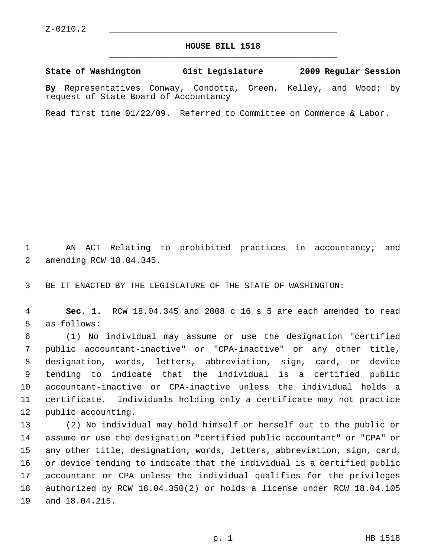## **HOUSE BILL 1518** \_\_\_\_\_\_\_\_\_\_\_\_\_\_\_\_\_\_\_\_\_\_\_\_\_\_\_\_\_\_\_\_\_\_\_\_\_\_\_\_\_\_\_\_\_

**State of Washington 61st Legislature 2009 Regular Session**

**By** Representatives Conway, Condotta, Green, Kelley, and Wood; by request of State Board of Accountancy

Read first time 01/22/09. Referred to Committee on Commerce & Labor.

 1 AN ACT Relating to prohibited practices in accountancy; and 2 amending RCW 18.04.345.

3 BE IT ENACTED BY THE LEGISLATURE OF THE STATE OF WASHINGTON:

 4 **Sec. 1.** RCW 18.04.345 and 2008 c 16 s 5 are each amended to read 5 as follows:

 6 (1) No individual may assume or use the designation "certified 7 public accountant-inactive" or "CPA-inactive" or any other title, 8 designation, words, letters, abbreviation, sign, card, or device 9 tending to indicate that the individual is a certified public 10 accountant-inactive or CPA-inactive unless the individual holds a 11 certificate. Individuals holding only a certificate may not practice 12 public accounting.

13 (2) No individual may hold himself or herself out to the public or 14 assume or use the designation "certified public accountant" or "CPA" or 15 any other title, designation, words, letters, abbreviation, sign, card, 16 or device tending to indicate that the individual is a certified public 17 accountant or CPA unless the individual qualifies for the privileges 18 authorized by RCW 18.04.350(2) or holds a license under RCW 18.04.105 19 and 18.04.215.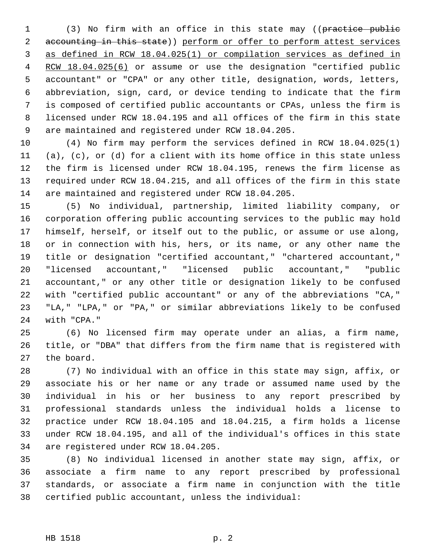1 (3) No firm with an office in this state may ((practice public 2 accounting in this state)) perform or offer to perform attest services 3 as defined in RCW 18.04.025(1) or compilation services as defined in 4 RCW 18.04.025(6) or assume or use the designation "certified public 5 accountant" or "CPA" or any other title, designation, words, letters, 6 abbreviation, sign, card, or device tending to indicate that the firm 7 is composed of certified public accountants or CPAs, unless the firm is 8 licensed under RCW 18.04.195 and all offices of the firm in this state 9 are maintained and registered under RCW 18.04.205.

10 (4) No firm may perform the services defined in RCW 18.04.025(1) 11 (a), (c), or (d) for a client with its home office in this state unless 12 the firm is licensed under RCW 18.04.195, renews the firm license as 13 required under RCW 18.04.215, and all offices of the firm in this state 14 are maintained and registered under RCW 18.04.205.

15 (5) No individual, partnership, limited liability company, or 16 corporation offering public accounting services to the public may hold 17 himself, herself, or itself out to the public, or assume or use along, 18 or in connection with his, hers, or its name, or any other name the 19 title or designation "certified accountant," "chartered accountant," 20 "licensed accountant," "licensed public accountant," "public 21 accountant," or any other title or designation likely to be confused 22 with "certified public accountant" or any of the abbreviations "CA," 23 "LA," "LPA," or "PA," or similar abbreviations likely to be confused 24 with "CPA."

25 (6) No licensed firm may operate under an alias, a firm name, 26 title, or "DBA" that differs from the firm name that is registered with 27 the board.

28 (7) No individual with an office in this state may sign, affix, or 29 associate his or her name or any trade or assumed name used by the 30 individual in his or her business to any report prescribed by 31 professional standards unless the individual holds a license to 32 practice under RCW 18.04.105 and 18.04.215, a firm holds a license 33 under RCW 18.04.195, and all of the individual's offices in this state 34 are registered under RCW 18.04.205.

35 (8) No individual licensed in another state may sign, affix, or 36 associate a firm name to any report prescribed by professional 37 standards, or associate a firm name in conjunction with the title 38 certified public accountant, unless the individual: